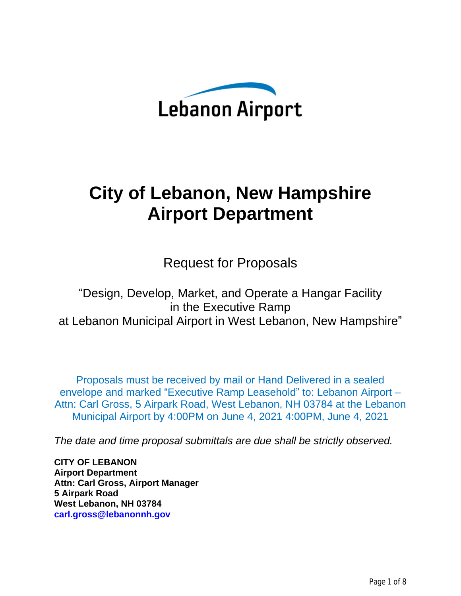

# **City of Lebanon, New Hampshire Airport Department**

Request for Proposals

"Design, Develop, Market, and Operate a Hangar Facility in the Executive Ramp at Lebanon Municipal Airport in West Lebanon, New Hampshire"

Proposals must be received by mail or Hand Delivered in a sealed envelope and marked "Executive Ramp Leasehold" to: Lebanon Airport – Attn: Carl Gross, 5 Airpark Road, West Lebanon, NH 03784 at the Lebanon Municipal Airport by 4:00PM on June 4, 2021 4:00PM, June 4, 2021

*The date and time proposal submittals are due shall be strictly observed.*

**CITY OF LEBANON Airport Department Attn: Carl Gross, Airport Manager 5 Airpark Road West Lebanon, NH 03784 [carl.gross@lebanonnh.gov](mailto:carl.gross@lebanonnh.gov)**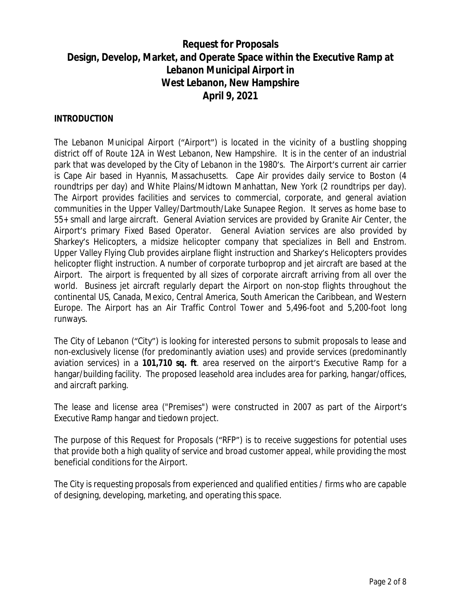# **Request for Proposals Design, Develop, Market, and Operate Space within the Executive Ramp at Lebanon Municipal Airport in West Lebanon, New Hampshire April 9, 2021**

#### **INTRODUCTION**

The Lebanon Municipal Airport ("Airport") is located in the vicinity of a bustling shopping district off of Route 12A in West Lebanon, New Hampshire. It is in the center of an industrial park that was developed by the City of Lebanon in the 1980's. The Airport's current air carrier is Cape Air based in Hyannis, Massachusetts. Cape Air provides daily service to Boston (4 roundtrips per day) and White Plains/Midtown Manhattan, New York (2 roundtrips per day). The Airport provides facilities and services to commercial, corporate, and general aviation communities in the Upper Valley/Dartmouth/Lake Sunapee Region. It serves as home base to 55+ small and large aircraft. General Aviation services are provided by Granite Air Center, the Airport's primary Fixed Based Operator. General Aviation services are also provided by Sharkey's Helicopters, a midsize helicopter company that specializes in Bell and Enstrom. Upper Valley Flying Club provides airplane flight instruction and Sharkey's Helicopters provides helicopter flight instruction. A number of corporate turboprop and jet aircraft are based at the Airport. The airport is frequented by all sizes of corporate aircraft arriving from all over the world. Business jet aircraft regularly depart the Airport on non-stop flights throughout the continental US, Canada, Mexico, Central America, South American the Caribbean, and Western Europe. The Airport has an Air Traffic Control Tower and 5,496-foot and 5,200-foot long runways.

The City of Lebanon ("City") is looking for interested persons to submit proposals to lease and non-exclusively license (for predominantly aviation uses) and provide services (predominantly aviation services) in a *101,710 sq. ft*. area reserved on the airport's Executive Ramp for a hangar/building facility. The proposed leasehold area includes area for parking, hangar/offices, and aircraft parking.

The lease and license area ("Premises") were constructed in 2007 as part of the Airport's Executive Ramp hangar and tiedown project.

The purpose of this Request for Proposals ("RFP") is to receive suggestions for potential uses that provide both a high quality of service and broad customer appeal, while providing the most beneficial conditions for the Airport.

The City is requesting proposals from experienced and qualified entities / firms who are capable of designing, developing, marketing, and operating this space.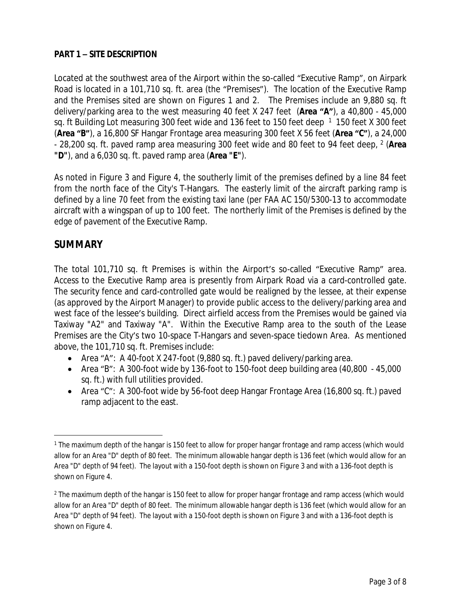## **PART 1 – SITE DESCRIPTION**

Located at the southwest area of the Airport within the so-called "Executive Ramp", on Airpark Road is located in a 101,710 sq. ft. area (the "Premises"). The location of the Executive Ramp and the Premises sited are shown on Figures 1 and 2. The Premises include an 9,880 sq. ft delivery/parking area to the west measuring 40 feet X 247 feet (**Area "A"**), a 40,800 - 45,000 sq. ft Building Lot measuring 300 feet wide and 136 feet to 150 feet deep  $1$  150 feet X 300 feet (**Area "B"**), a 16,800 SF Hangar Frontage area measuring 300 feet X 56 feet (**Area "C"**), a 24,000 - 28,200 sq. ft. paved ramp area measuring 300 feet wide and 80 feet to 94 feet deep, <sup>2</sup> (Area **"D"**), and a 6,030 sq. ft. paved ramp area (**Area "E"**).

As noted in Figure 3 and Figure 4, the southerly limit of the premises defined by a line 84 feet from the north face of the City's T-Hangars. The easterly limit of the aircraft parking ramp is defined by a line 70 feet from the existing taxi lane (per FAA AC 150/5300-13 to accommodate aircraft with a wingspan of up to 100 feet. The northerly limit of the Premises is defined by the edge of pavement of the Executive Ramp.

# **SUMMARY**

The total 101,710 sq. ft Premises is within the Airport's so-called "Executive Ramp" area. Access to the Executive Ramp area is presently from Airpark Road via a card-controlled gate. The security fence and card-controlled gate would be realigned by the lessee, at their expense (as approved by the Airport Manager) to provide public access to the delivery/parking area and west face of the lessee's building. Direct airfield access from the Premises would be gained via Taxiway "A2" and Taxiway "A". Within the Executive Ramp area to the south of the Lease Premises are the City's two 10-space T-Hangars and seven-space tiedown Area. As mentioned above, the 101,710 sq. ft. Premises include:

- Area "A": A 40-foot X 247-foot (9,880 sq. ft.) paved delivery/parking area.
- Area "B": A 300-foot wide by 136-foot to 150-foot deep building area (40,800 45,000 sq. ft.) with full utilities provided.
- Area "C": A 300-foot wide by 56-foot deep Hangar Frontage Area (16,800 sq. ft.) paved ramp adjacent to the east.

<sup>1</sup> The maximum depth of the hangar is 150 feet to allow for proper hangar frontage and ramp access (which would allow for an Area "D" depth of 80 feet. The minimum allowable hangar depth is 136 feet (which would allow for an Area "D" depth of 94 feet). The layout with a 150-foot depth is shown on Figure 3 and with a 136-foot depth is shown on Figure 4.

<sup>2</sup> The maximum depth of the hangar is 150 feet to allow for proper hangar frontage and ramp access (which would allow for an Area "D" depth of 80 feet. The minimum allowable hangar depth is 136 feet (which would allow for an Area "D" depth of 94 feet). The layout with a 150-foot depth is shown on Figure 3 and with a 136-foot depth is shown on Figure 4.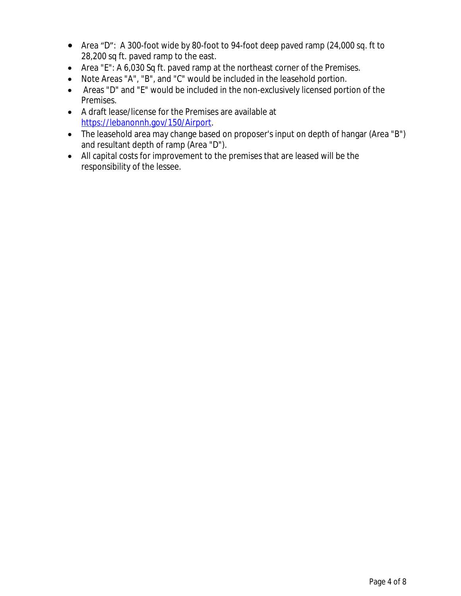- Area "D": A 300-foot wide by 80-foot to 94-foot deep paved ramp (24,000 sq. ft to 28,200 sq ft. paved ramp to the east.
- Area "E": A 6,030 Sq ft. paved ramp at the northeast corner of the Premises.
- Note Areas "A", "B", and "C" would be included in the leasehold portion.
- Areas "D" and "E" would be included in the non-exclusively licensed portion of the Premises.
- A draft lease/license for the Premises are available at [https://lebanonnh.gov/150/Airport.](https://lebanonnh.gov/150/Airport)
- The leasehold area may change based on proposer's input on depth of hangar (Area "B") and resultant depth of ramp (Area "D").
- All capital costs for improvement to the premises that are leased will be the responsibility of the lessee.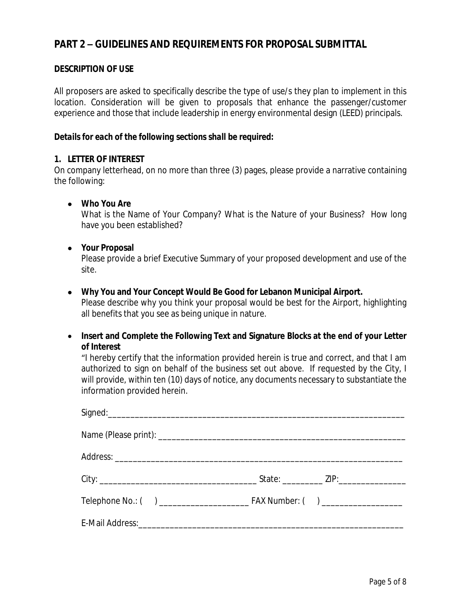# **PART 2 – GUIDELINES AND REQUIREMENTS FOR PROPOSAL SUBMITTAL**

#### **DESCRIPTION OF USE**

All proposers are asked to specifically describe the type of use/s they plan to implement in this location. Consideration will be given to proposals that enhance the passenger/customer experience and those that include leadership in energy environmental design (LEED) principals.

#### *Details for each of the following sections shall be required:*

#### **1. LETTER OF INTEREST**

On company letterhead, on no more than three (3) pages, please provide a narrative containing the following:

#### **Who You Are**

What is the Name of Your Company? What is the Nature of your Business? How long have you been established?

#### **Your Proposal**

Please provide a brief Executive Summary of your proposed development and use of the site.

#### **Why You and Your Concept Would Be Good for Lebanon Municipal Airport.**

Please describe why you think your proposal would be best for the Airport, highlighting all benefits that you see as being unique in nature.

 **Insert and Complete the Following Text and Signature Blocks at the end of your Letter of Interest**

"I hereby certify that the information provided herein is true and correct, and that I am authorized to sign on behalf of the business set out above. If requested by the City, I will provide, within ten (10) days of notice, any documents necessary to substantiate the information provided herein.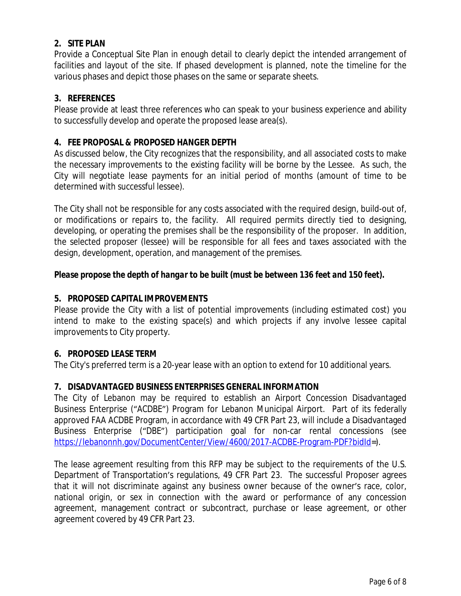## **2. SITE PLAN**

Provide a Conceptual Site Plan in enough detail to clearly depict the intended arrangement of facilities and layout of the site. If phased development is planned, note the timeline for the various phases and depict those phases on the same or separate sheets.

## **3. REFERENCES**

Please provide at least three references who can speak to your business experience and ability to successfully develop and operate the proposed lease area(s).

## **4. FEE PROPOSAL & PROPOSED HANGER DEPTH**

As discussed below, the City recognizes that the responsibility, and all associated costs to make the necessary improvements to the existing facility will be borne by the Lessee. As such, the City will negotiate lease payments for an initial period of months (amount of time to be determined with successful lessee).

The City shall not be responsible for any costs associated with the required design, build-out of, or modifications or repairs to, the facility. All required permits directly tied to designing, developing, or operating the premises shall be the responsibility of the proposer. In addition, the selected proposer (lessee) will be responsible for all fees and taxes associated with the design, development, operation, and management of the premises.

## *Please propose the depth of hangar to be built (must be between 136 feet and 150 feet).*

## **5. PROPOSED CAPITAL IMPROVEMENTS**

Please provide the City with a list of potential improvements (including estimated cost) you intend to make to the existing space(s) and which projects if any involve lessee capital improvements to City property.

## **6. PROPOSED LEASE TERM**

The City's preferred term is a 20-year lease with an option to extend for 10 additional years.

## **7. DISADVANTAGED BUSINESS ENTERPRISES GENERAL INFORMATION**

The City of Lebanon may be required to establish an Airport Concession Disadvantaged Business Enterprise ("ACDBE") Program for Lebanon Municipal Airport. Part of its federally approved FAA ACDBE Program, in accordance with 49 CFR Part 23, will include a Disadvantaged Business Enterprise ("DBE") participation goal for non-car rental concessions (see <https://lebanonnh.gov/DocumentCenter/View/4600/2017-ACDBE-Program-PDF?bidId>=).

The lease agreement resulting from this RFP may be subject to the requirements of the U.S. Department of Transportation's regulations, 49 CFR Part 23. The successful Proposer agrees that it will not discriminate against any business owner because of the owner's race, color, national origin, or sex in connection with the award or performance of any concession agreement, management contract or subcontract, purchase or lease agreement, or other agreement covered by 49 CFR Part 23.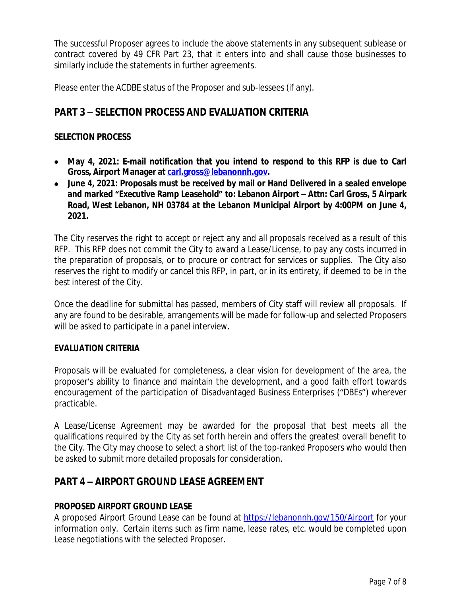The successful Proposer agrees to include the above statements in any subsequent sublease or contract covered by 49 CFR Part 23, that it enters into and shall cause those businesses to similarly include the statements in further agreements.

Please enter the ACDBE status of the Proposer and sub-lessees (if any).

# **PART 3 – SELECTION PROCESS AND EVALUATION CRITERIA**

## **SELECTION PROCESS**

- **May 4, 2021: E-mail notification that you intend to respond to this RFP is due to Carl Gross, Airport Manager at [carl.gross@lebanonnh.gov.](mailto:carl.gross@lebanonnh.gov)**
- **[June](mailto:carl.gross@lebanonnh.gov) 4, [2021:](mailto:carl.gross@lebanonnh.gov) [Proposals](mailto:carl.gross@lebanonnh.gov) must be received by mail or Hand [Delivered](mailto:carl.gross@lebanonnh.gov) in a sealed envelope and marked "Executive Ramp [Leasehold](mailto:carl.gross@lebanonnh.gov)" [to:](mailto:carl.gross@lebanonnh.gov) [Lebanon](mailto:carl.gross@lebanonnh.gov) [Airport](mailto:carl.gross@lebanonnh.gov) – Attn: Carl [Gross](mailto:carl.gross@lebanonnh.gov), 5 [Airpark](mailto:carl.gross@lebanonnh.gov) [Roa](mailto:carl.gross@lebanonnh.gov)d, [West](mailto:carl.gross@lebanonnh.gov) [Lebanon,](mailto:carl.gross@lebanonnh.gov) NH [03784](mailto:carl.gross@lebanonnh.gov) at [the](mailto:carl.gross@lebanonnh.gov) [Lebanon](mailto:carl.gross@lebanonnh.gov) [Municipal](mailto:carl.gross@lebanonnh.gov) Airport by 4:00PM [on](mailto:carl.gross@lebanonnh.gov) [June](mailto:carl.gross@lebanonnh.gov) 4[,](mailto:carl.gross@lebanonnh.gov) [2021.](mailto:carl.gross@lebanonnh.gov)**

[Th](mailto:carl.gross@lebanonnh.gov)e City reserves the right to accept or reject any and all [proposals](mailto:carl.gross@lebanonnh.gov) received as a result of this RFP. This RFP does not [commit](mailto:carl.gross@lebanonnh.gov) the City to award a Lease[/License](mailto:carl.gross@lebanonnh.gov), to pay any costs [incurred](mailto:carl.gross@lebanonnh.gov) in [the](mailto:carl.gross@lebanonnh.gov) [preparation](mailto:carl.gross@lebanonnh.gov) of proposals, [or](mailto:carl.gross@lebanonnh.gov) to [procure](mailto:carl.gross@lebanonnh.gov) or contract for services or [supplies.](mailto:carl.gross@lebanonnh.gov) The City also [reserves](mailto:carl.gross@lebanonnh.gov) the right to modify or cancel [this](mailto:carl.gross@lebanonnh.gov) RFP, in part, or in its [entirety,](mailto:carl.gross@lebanonnh.gov) if deemed to be in the [best interest of the City.](mailto:carl.gross@lebanonnh.gov)

Once the deadline for [submittal](mailto:carl.gross@lebanonnh.gov) has [passed,](mailto:carl.gross@lebanonnh.gov) m[embers](mailto:carl.gross@lebanonnh.gov) of [City](mailto:carl.gross@lebanonnh.gov) [staff](mailto:carl.gross@lebanonnh.gov) will [rev](mailto:carl.gross@lebanonnh.gov)iew all [proposals](mailto:carl.gross@lebanonnh.gov). [If](mailto:carl.gross@lebanonnh.gov) any are found to be [desirable,](mailto:carl.gross@lebanonnh.gov) [arrangements](mailto:carl.gross@lebanonnh.gov) will be made for [follow-up](mailto:carl.gross@lebanonnh.gov) and selected [Proposers](mailto:carl.gross@lebanonnh.gov) [will be asked to participate in a panel interview.](mailto:carl.gross@lebanonnh.gov)

#### **[EVALUATION CRITERIA](mailto:carl.gross@lebanonnh.gov)**

[Proposals](mailto:carl.gross@lebanonnh.gov) will be evaluated for [completeness,](mailto:carl.gross@lebanonnh.gov) a clear vision f[or](mailto:carl.gross@lebanonnh.gov) [development](mailto:carl.gross@lebanonnh.gov) of the area, the [proposer](mailto:carl.gross@lebanonnh.gov)'s ability to finance and maintain the [development,](mailto:carl.gross@lebanonnh.gov) and [a](mailto:carl.gross@lebanonnh.gov) good faith effort [towards](mailto:carl.gross@lebanonnh.gov) [encouragement](mailto:carl.gross@lebanonnh.gov) of the participation of [Disadvantaged](mailto:carl.gross@lebanonnh.gov) Business Enterprises ("DBEs") wherever [practicable.](mailto:carl.gross@lebanonnh.gov)

A [Lease/License](mailto:carl.gross@lebanonnh.gov) [Agreement](mailto:carl.gross@lebanonnh.gov) ma[y](mailto:carl.gross@lebanonnh.gov) be [awarded](mailto:carl.gross@lebanonnh.gov) [for](mailto:carl.gross@lebanonnh.gov) [the](mailto:carl.gross@lebanonnh.gov) [proposal](mailto:carl.gross@lebanonnh.gov) that best [meets](mailto:carl.gross@lebanonnh.gov) [all](mailto:carl.gross@lebanonnh.gov) [the](mailto:carl.gross@lebanonnh.gov) [qualifications](mailto:carl.gross@lebanonnh.gov) required by the City as set forth herein and offers the greatest overall benefit to the [City.](mailto:carl.gross@lebanonnh.gov) The City may [choose](mailto:carl.gross@lebanonnh.gov) to select a short list of the top-ranked [Proposers](mailto:carl.gross@lebanonnh.gov) who would then [be asked to submit more detailed proposals for consideration.](mailto:carl.gross@lebanonnh.gov)

## **PART 4 – [AIRPORT GROUND LEASE AGREEMENT](mailto:carl.gross@lebanonnh.gov)**

#### **[PROPOSED AIRPORT GROUND LEASE](mailto:carl.gross@lebanonnh.gov)**

A [proposed](mailto:carl.gross@lebanonnh.gov) Airport [Ground](mailto:carl.gross@lebanonnh.gov) [Lease](mailto:carl.gross@lebanonnh.gov) can be [found](mailto:carl.gross@lebanonnh.gov) a[t](mailto:carl.gross@lebanonnh.gov) <https://lebanonnh.gov/150/Airport> for your information only. Certain items such as firm name, lease rates, etc. would be completed upon Lease negotiations with the selected Proposer.